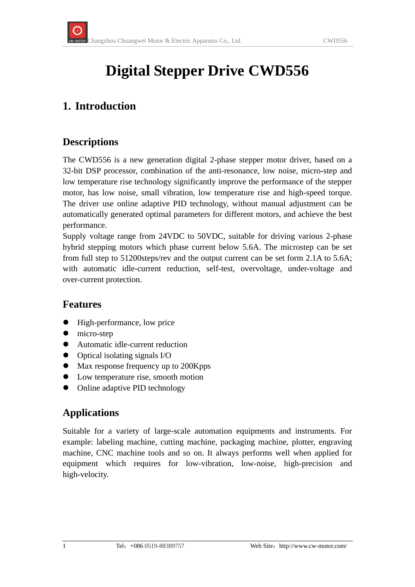# **Digital Stepper Drive CWD556**

## **1. Introduction**

#### **Descriptions**

The CWD556 is a new generation digital 2-phase stepper motor driver, based on a 32-bit DSP processor, combination of the anti-resonance, low noise, micro-step and low temperature rise technology significantly improve the performance of the stepper motor, has low noise, small vibration, low temperature rise and high-speed torque. The driver use online adaptive PID technology, without manual adjustment can be automatically generated optimal parameters for different motors, and achieve the best performance.

Supply voltage range from 24VDC to 50VDC, suitable for driving various 2-phase hybrid stepping motors which phase current below 5.6A. The microstep can be set from full step to 51200steps/rev and the output current can be set form 2.1A to 5.6A; with automatic idle-current reduction, self-test, overvoltage, under-voltage and over-current protection.

#### **Features**

- High-performance, low price
- $\bullet$  micro-step
- Automatic idle-current reduction
- $\bullet$  Optical isolating signals I/O
- Max response frequency up to 200Kpps
- Low temperature rise, smooth motion
- Online adaptive PID technology

#### **Applications**

Suitable for a variety of large-scale automation equipments and instruments. For example: labeling machine, cutting machine, packaging machine, plotter, engraving machine, CNC machine tools and so on. It always performs well when applied for equipment which requires for low-vibration, low-noise, high-precision and high-velocity.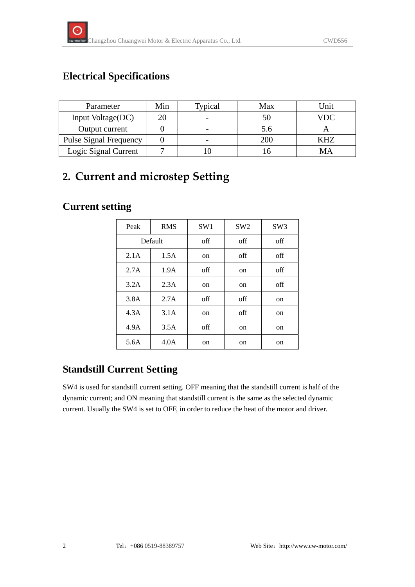### **Electrical Specifications**

| Parameter                     | Min | Typical | Max | Unit |
|-------------------------------|-----|---------|-----|------|
| Input Voltage(DC)             |     |         | 50  | VDC  |
| Output current                |     |         | 5.6 |      |
| <b>Pulse Signal Frequency</b> |     |         | 200 | KHZ  |
| Logic Signal Current          |     |         |     | MА   |

# **2. Current and microstep Setting**

#### **Current setting**

| Peak    | <b>RMS</b> | SW <sub>1</sub> | SW <sub>2</sub> | SW <sub>3</sub> |
|---------|------------|-----------------|-----------------|-----------------|
| Default |            | off             | off             | off             |
| 2.1A    | 1.5A       | on              | off             | off             |
| 2.7A    | 1.9A       | off             | <sub>on</sub>   | off             |
| 3.2A    | 2.3A       | on              | <sub>on</sub>   | off             |
| 3.8A    | 2.7A       | off             | off             | on              |
| 4.3A    | 3.1A       | on              | off             | on              |
| 4.9A    | 3.5A       | off             | <sub>on</sub>   | on              |
| 5.6A    | 4.0A       | on              | on              | on              |

### **Standstill Current Setting**

SW4 is used for standstill current setting. OFF meaning that the standstill current is half of the dynamic current; and ON meaning that standstill current is the same as the selected dynamic current. Usually the SW4 is set to OFF, in order to reduce the heat of the motor and driver.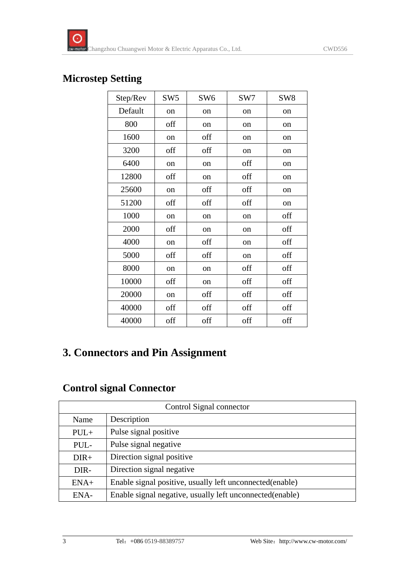#### **Microstep Setting**

| Step/Rev | SW <sub>5</sub> | SW <sub>6</sub> | SW7           | SW <sub>8</sub> |
|----------|-----------------|-----------------|---------------|-----------------|
| Default  | on              | on              | on            | on              |
| 800      | off             | on              | on            | on              |
| 1600     | on              | off             | on            | on              |
| 3200     | off             | off             | on            | on              |
| 6400     | on              | on              | off           | on              |
| 12800    | off             | on              | off           | on              |
| 25600    | on              | off             | off           | on              |
| 51200    | off             | off             | off           | on              |
| 1000     | on              | on              | on            | off             |
| 2000     | off             | on              | <sub>on</sub> | off             |
| 4000     | on              | off             | on            | off             |
| 5000     | off             | off             | on            | off             |
| 8000     | on              | on              | off           | off             |
| 10000    | off             | on              | off           | off             |
| 20000    | on              | off             | off           | off             |
| 40000    | off             | off             | off           | off             |
| 40000    | off             | off             | off           | off             |

## **3. Connectors and Pin Assignment**

## **Control signal Connector**

| Control Signal connector |                                                          |  |
|--------------------------|----------------------------------------------------------|--|
| Name                     | Description                                              |  |
| $PUL+$                   | Pulse signal positive                                    |  |
| PUL-                     | Pulse signal negative                                    |  |
| $DIR+$                   | Direction signal positive                                |  |
| DIR-                     | Direction signal negative                                |  |
| $ENA+$                   | Enable signal positive, usually left unconnected(enable) |  |
| ENA-                     | Enable signal negative, usually left unconnected(enable) |  |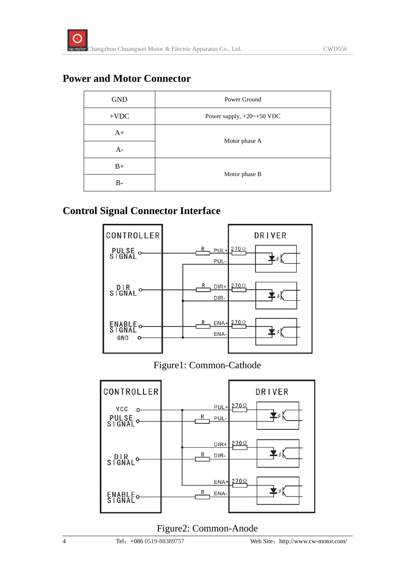#### **Power and Motor Connector**

| <b>GND</b> | Power Ground                   |  |
|------------|--------------------------------|--|
| $+VDC$     | Power supply, $+20$ $-+50$ VDC |  |
| $A+$       |                                |  |
| $A-$       | Motor phase A                  |  |
| $B+$       |                                |  |
| B-         | Motor phase B                  |  |

#### **Control Signal Connector Interface**



#### Figure1: Common-Cathode



#### Figure2: Common-Anode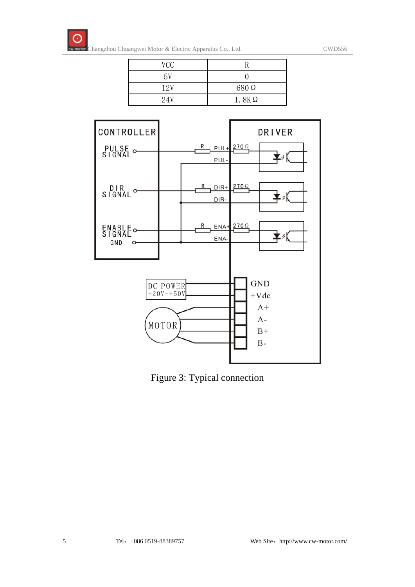

| VCC |              |
|-----|--------------|
| 5V  |              |
| 12V | 680Ω         |
| 24V | $1.8K\Omega$ |



Figure 3: Typical connection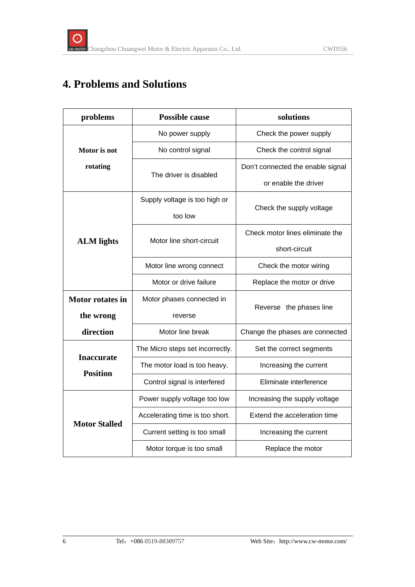# **4. Problems and Solutions**

| problems                             | <b>Possible cause</b>            | solutions                         |  |
|--------------------------------------|----------------------------------|-----------------------------------|--|
|                                      | No power supply                  | Check the power supply            |  |
| Motor is not                         | No control signal                | Check the control signal          |  |
| rotating                             |                                  | Don't connected the enable signal |  |
|                                      | The driver is disabled           | or enable the driver              |  |
|                                      | Supply voltage is too high or    |                                   |  |
|                                      | too low                          | Check the supply voltage          |  |
|                                      | Motor line short-circuit         | Check motor lines eliminate the   |  |
| <b>ALM</b> lights                    |                                  | short-circuit                     |  |
|                                      | Motor line wrong connect         | Check the motor wiring            |  |
|                                      | Motor or drive failure           | Replace the motor or drive        |  |
| <b>Motor rotates in</b>              | Motor phases connected in        |                                   |  |
| the wrong                            | reverse                          | Reverse the phases line           |  |
| direction                            | Motor line break                 | Change the phases are connected   |  |
|                                      | The Micro steps set incorrectly. | Set the correct segments          |  |
| <b>Inaccurate</b><br><b>Position</b> | The motor load is too heavy.     | Increasing the current            |  |
|                                      | Control signal is interfered     | Eliminate interference            |  |
| <b>Motor Stalled</b>                 | Power supply voltage too low     | Increasing the supply voltage     |  |
|                                      | Accelerating time is too short.  | Extend the acceleration time      |  |
|                                      | Current setting is too small     | Increasing the current            |  |
|                                      | Motor torque is too small        | Replace the motor                 |  |